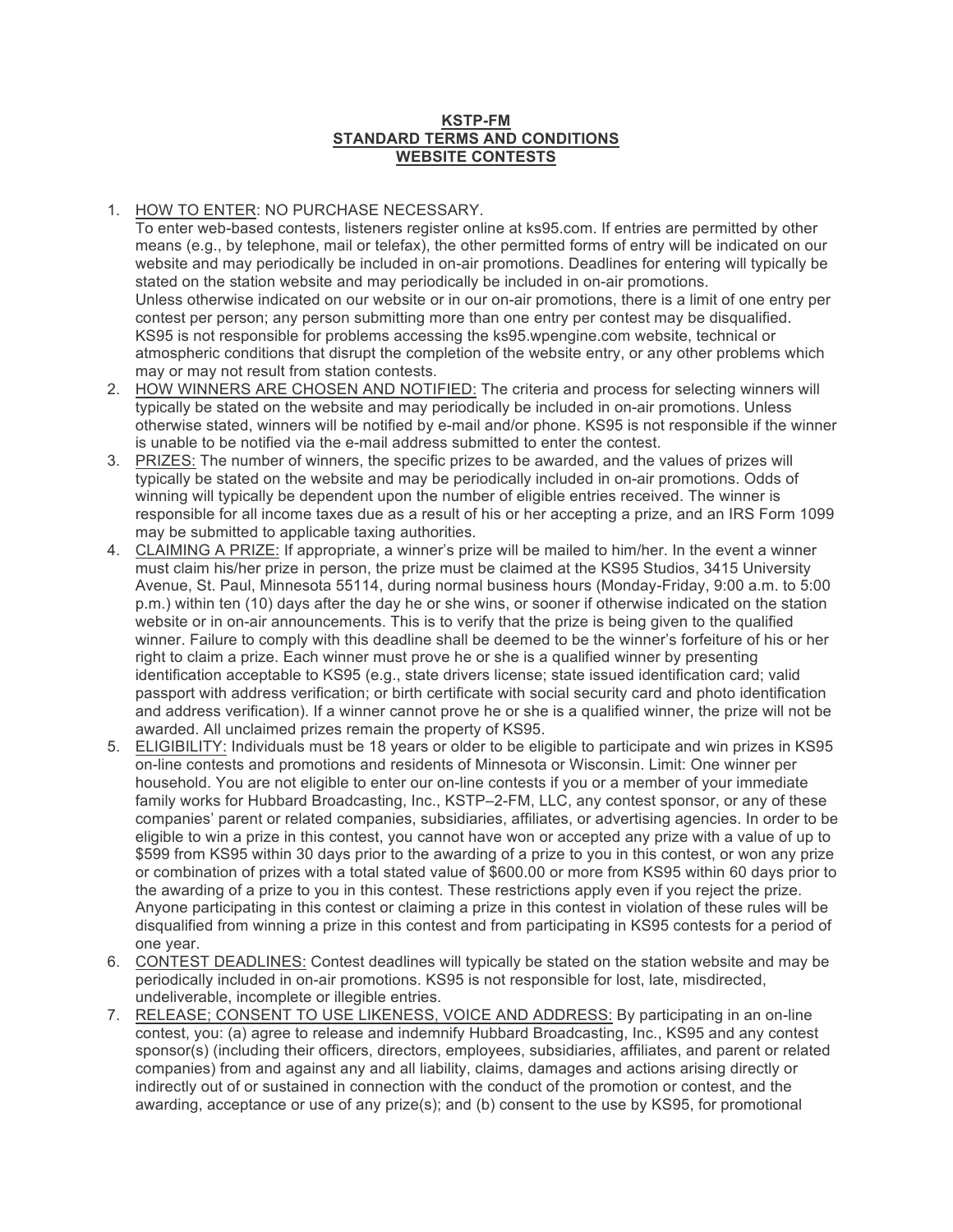## **KSTP-FM STANDARD TERMS AND CONDITIONS WEBSITE CONTESTS**

## 1. HOW TO ENTER: NO PURCHASE NECESSARY.

To enter web-based contests, listeners register online at ks95.com. If entries are permitted by other means (e.g., by telephone, mail or telefax), the other permitted forms of entry will be indicated on our website and may periodically be included in on-air promotions. Deadlines for entering will typically be stated on the station website and may periodically be included in on-air promotions. Unless otherwise indicated on our website or in our on-air promotions, there is a limit of one entry per contest per person; any person submitting more than one entry per contest may be disqualified. KS95 is not responsible for problems accessing the ks95.wpengine.com website, technical or atmospheric conditions that disrupt the completion of the website entry, or any other problems which may or may not result from station contests.

- 2. HOW WINNERS ARE CHOSEN AND NOTIFIED: The criteria and process for selecting winners will typically be stated on the website and may periodically be included in on-air promotions. Unless otherwise stated, winners will be notified by e-mail and/or phone. KS95 is not responsible if the winner is unable to be notified via the e-mail address submitted to enter the contest.
- 3. PRIZES: The number of winners, the specific prizes to be awarded, and the values of prizes will typically be stated on the website and may be periodically included in on-air promotions. Odds of winning will typically be dependent upon the number of eligible entries received. The winner is responsible for all income taxes due as a result of his or her accepting a prize, and an IRS Form 1099 may be submitted to applicable taxing authorities.
- 4. CLAIMING A PRIZE: If appropriate, a winner's prize will be mailed to him/her. In the event a winner must claim his/her prize in person, the prize must be claimed at the KS95 Studios, 3415 University Avenue, St. Paul, Minnesota 55114, during normal business hours (Monday-Friday, 9:00 a.m. to 5:00 p.m.) within ten (10) days after the day he or she wins, or sooner if otherwise indicated on the station website or in on-air announcements. This is to verify that the prize is being given to the qualified winner. Failure to comply with this deadline shall be deemed to be the winner's forfeiture of his or her right to claim a prize. Each winner must prove he or she is a qualified winner by presenting identification acceptable to KS95 (e.g., state drivers license; state issued identification card; valid passport with address verification; or birth certificate with social security card and photo identification and address verification). If a winner cannot prove he or she is a qualified winner, the prize will not be awarded. All unclaimed prizes remain the property of KS95.
- 5. ELIGIBILITY: Individuals must be 18 years or older to be eligible to participate and win prizes in KS95 on-line contests and promotions and residents of Minnesota or Wisconsin. Limit: One winner per household. You are not eligible to enter our on-line contests if you or a member of your immediate family works for Hubbard Broadcasting, Inc., KSTP–2-FM, LLC, any contest sponsor, or any of these companies' parent or related companies, subsidiaries, affiliates, or advertising agencies. In order to be eligible to win a prize in this contest, you cannot have won or accepted any prize with a value of up to \$599 from KS95 within 30 days prior to the awarding of a prize to you in this contest, or won any prize or combination of prizes with a total stated value of \$600.00 or more from KS95 within 60 days prior to the awarding of a prize to you in this contest. These restrictions apply even if you reject the prize. Anyone participating in this contest or claiming a prize in this contest in violation of these rules will be disqualified from winning a prize in this contest and from participating in KS95 contests for a period of one year.
- 6. CONTEST DEADLINES: Contest deadlines will typically be stated on the station website and may be periodically included in on-air promotions. KS95 is not responsible for lost, late, misdirected, undeliverable, incomplete or illegible entries.
- 7. RELEASE; CONSENT TO USE LIKENESS, VOICE AND ADDRESS: By participating in an on-line contest, you: (a) agree to release and indemnify Hubbard Broadcasting, Inc., KS95 and any contest sponsor(s) (including their officers, directors, employees, subsidiaries, affiliates, and parent or related companies) from and against any and all liability, claims, damages and actions arising directly or indirectly out of or sustained in connection with the conduct of the promotion or contest, and the awarding, acceptance or use of any prize(s); and (b) consent to the use by KS95, for promotional